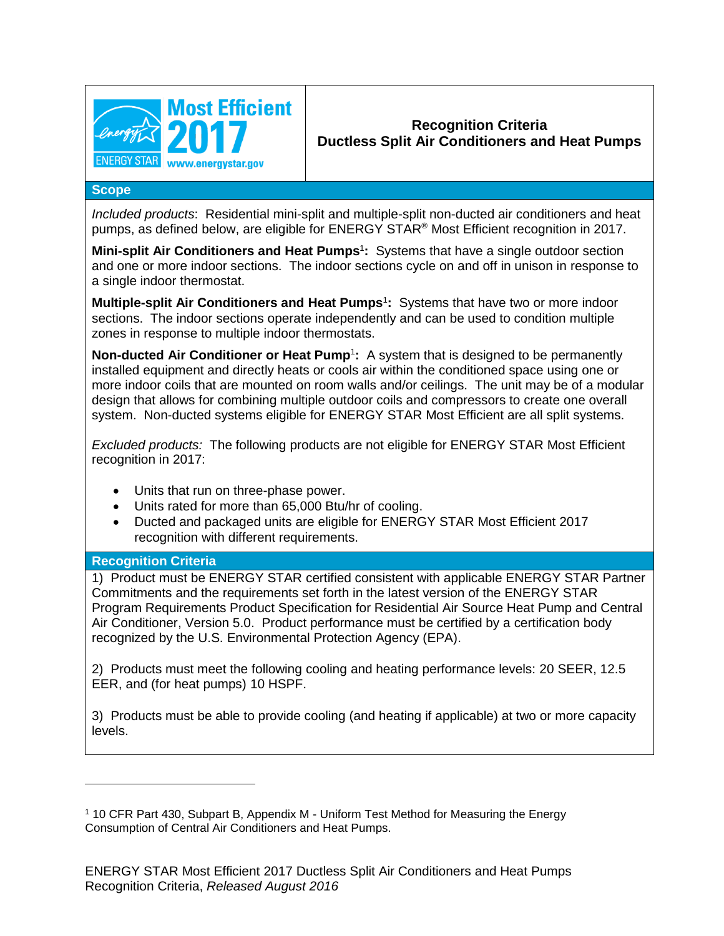

## <span id="page-0-0"></span>**Recognition Criteria Ductless Split Air Conditioners and Heat Pumps**

## **Scope**

*Included products*: Residential mini-split and multiple-split non-ducted air conditioners and heat pumps, as defined below, are eligible for ENERGY STAR® Most Efficient recognition in 2017.

**Mini-split Air Conditioners and Heat Pumps<sup>1</sup>:** Systems that have a single outdoor section and one or more indoor sections. The indoor sections cycle on and off in unison in response to a single indoor thermostat.

**Multiple-split Air Conditioners and Heat Pumps<sup>[1](#page-0-0)</sup>: Systems that have two or more indoor** sections. The indoor sections operate independently and can be used to condition multiple zones in response to multiple indoor thermostats.

**Non-ducted Air Conditioner or Heat Pum[p](#page-0-0)**<sup>1</sup> **:** A system that is designed to be permanently installed equipment and directly heats or cools air within the conditioned space using one or more indoor coils that are mounted on room walls and/or ceilings. The unit may be of a modular design that allows for combining multiple outdoor coils and compressors to create one overall system. Non-ducted systems eligible for ENERGY STAR Most Efficient are all split systems.

*Excluded products:* The following products are not eligible for ENERGY STAR Most Efficient recognition in 2017:

- Units that run on three-phase power.
- Units rated for more than 65,000 Btu/hr of cooling.
- Ducted and packaged units are eligible for ENERGY STAR Most Efficient 2017 recognition with different requirements.

## **Recognition Criteria**

l

1) Product must be ENERGY STAR certified consistent with applicable ENERGY STAR Partner Commitments and the requirements set forth in the latest version of the ENERGY STAR Program Requirements Product Specification for Residential Air Source Heat Pump and Central Air Conditioner, Version 5.0. Product performance must be certified by a certification body recognized by the U.S. Environmental Protection Agency (EPA).

2) Products must meet the following cooling and heating performance levels: 20 SEER, 12.5 EER, and (for heat pumps) 10 HSPF.

3) Products must be able to provide cooling (and heating if applicable) at two or more capacity levels.

<sup>1</sup> 10 CFR Part 430, Subpart B, Appendix M - Uniform Test Method for Measuring the Energy Consumption of Central Air Conditioners and Heat Pumps.